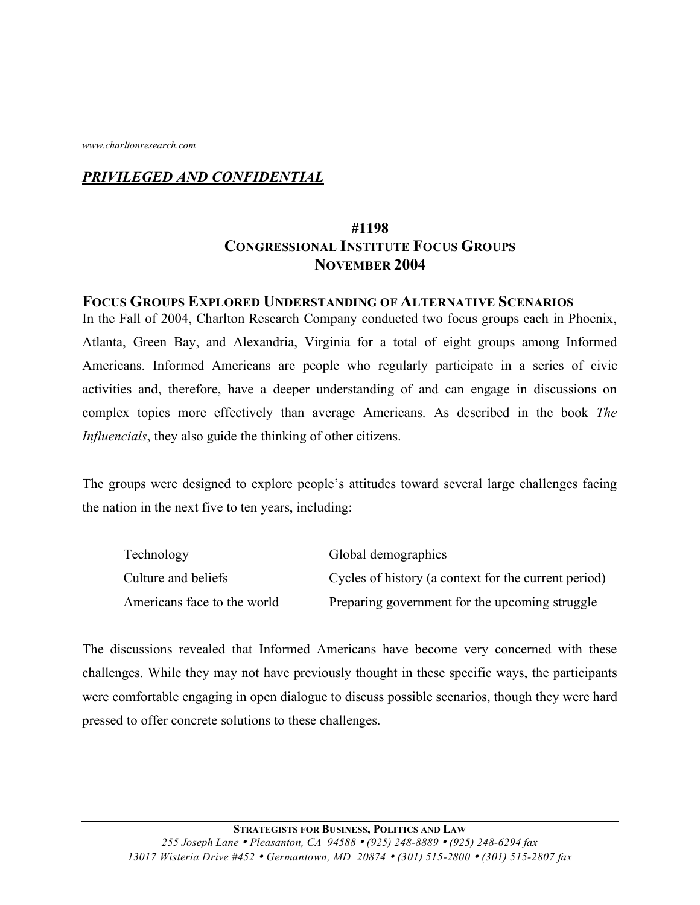*www.charltonresearch.com*

### *PRIVILEGED AND CONFIDENTIAL*

## **#1198 CONGRESSIONAL INSTITUTE FOCUS GROUPS NOVEMBER 2004**

#### **FOCUS GROUPS EXPLORED UNDERSTANDING OF ALTERNATIVE SCENARIOS**

In the Fall of 2004, Charlton Research Company conducted two focus groups each in Phoenix, Atlanta, Green Bay, and Alexandria, Virginia for a total of eight groups among Informed Americans. Informed Americans are people who regularly participate in a series of civic activities and, therefore, have a deeper understanding of and can engage in discussions on complex topics more effectively than average Americans. As described in the book *The Influencials*, they also guide the thinking of other citizens.

The groups were designed to explore people's attitudes toward several large challenges facing the nation in the next five to ten years, including:

| Technology                  | Global demographics                                  |
|-----------------------------|------------------------------------------------------|
| Culture and beliefs         | Cycles of history (a context for the current period) |
| Americans face to the world | Preparing government for the upcoming struggle       |

The discussions revealed that Informed Americans have become very concerned with these challenges. While they may not have previously thought in these specific ways, the participants were comfortable engaging in open dialogue to discuss possible scenarios, though they were hard pressed to offer concrete solutions to these challenges.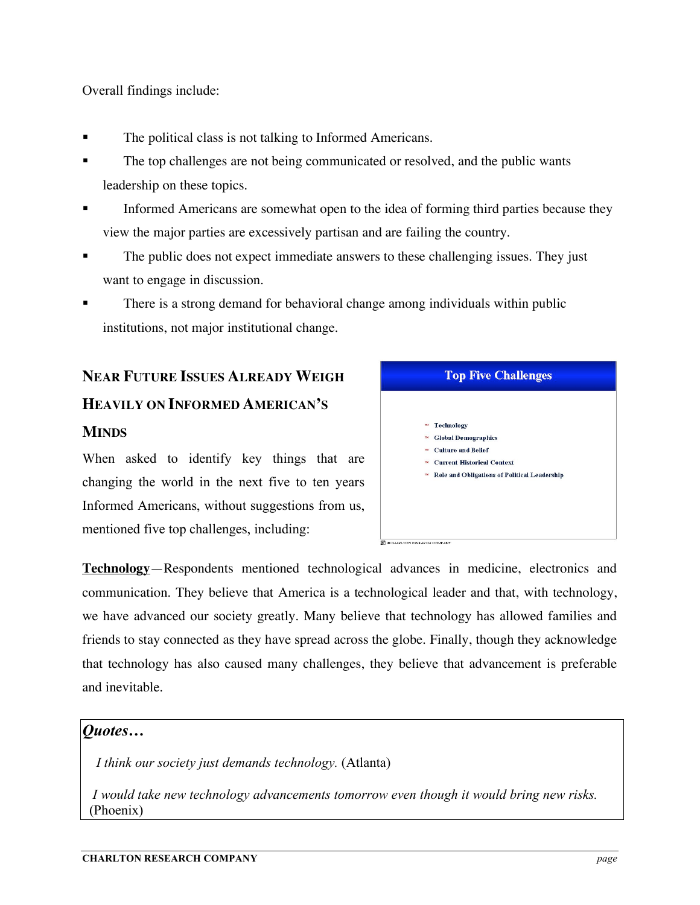Overall findings include:

- The political class is not talking to Informed Americans.
- The top challenges are not being communicated or resolved, and the public wants leadership on these topics.
- Informed Americans are somewhat open to the idea of forming third parties because they view the major parties are excessively partisan and are failing the country.
- The public does not expect immediate answers to these challenging issues. They just want to engage in discussion.
- There is a strong demand for behavioral change among individuals within public institutions, not major institutional change.

# **NEAR FUTURE ISSUES ALREADY WEIGH HEAVILY ON INFORMED AMERICAN'S MINDS**

When asked to identify key things that are changing the world in the next five to ten years Informed Americans, without suggestions from us, mentioned five top challenges, including:

| <b>Top Five Challenges</b>                                                                                                                                                                                                              |  |
|-----------------------------------------------------------------------------------------------------------------------------------------------------------------------------------------------------------------------------------------|--|
| <b>Technology</b><br><b>TM</b><br><b>Global Demographics</b><br><b>TM</b><br><b>Culture and Belief</b><br>TM <sub></sub><br><b>Current Historical Context</b><br><b>TM</b><br><b>Role and Obligations of Political Leadership</b><br>TM |  |
| <b>B</b> e CHARLTON RESEARCH COMPANY                                                                                                                                                                                                    |  |

**Technology**—Respondents mentioned technological advances in medicine, electronics and communication. They believe that America is a technological leader and that, with technology, we have advanced our society greatly. Many believe that technology has allowed families and friends to stay connected as they have spread across the globe. Finally, though they acknowledge that technology has also caused many challenges, they believe that advancement is preferable and inevitable.

#### *Quotes…*

*I think our society just demands technology.* (Atlanta)

*I would take new technology advancements tomorrow even though it would bring new risks.* (Phoenix)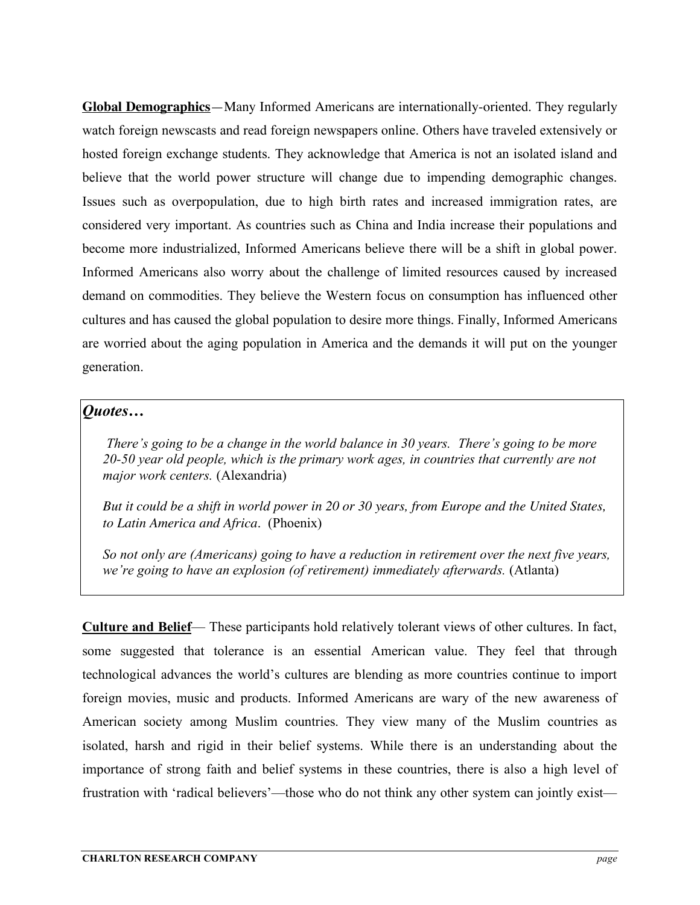**Global Demographics**—Many Informed Americans are internationally-oriented. They regularly watch foreign newscasts and read foreign newspapers online. Others have traveled extensively or hosted foreign exchange students. They acknowledge that America is not an isolated island and believe that the world power structure will change due to impending demographic changes. Issues such as overpopulation, due to high birth rates and increased immigration rates, are considered very important. As countries such as China and India increase their populations and become more industrialized, Informed Americans believe there will be a shift in global power. Informed Americans also worry about the challenge of limited resources caused by increased demand on commodities. They believe the Western focus on consumption has influenced other cultures and has caused the global population to desire more things. Finally, Informed Americans are worried about the aging population in America and the demands it will put on the younger generation.

#### *Quotes…*

*There's going to be a change in the world balance in 30 years. There's going to be more 20-50 year old people, which is the primary work ages, in countries that currently are not major work centers.* (Alexandria)

*But it could be a shift in world power in 20 or 30 years, from Europe and the United States, to Latin America and Africa.* (Phoenix)

*So not only are (Americans) going to have a reduction in retirement over the next five years, we're going to have an explosion (of retirement) immediately afterwards.* (Atlanta)

**Culture and Belief**— These participants hold relatively tolerant views of other cultures. In fact, some suggested that tolerance is an essential American value. They feel that through technological advances the world's cultures are blending as more countries continue to import foreign movies, music and products. Informed Americans are wary of the new awareness of American society among Muslim countries. They view many of the Muslim countries as isolated, harsh and rigid in their belief systems. While there is an understanding about the importance of strong faith and belief systems in these countries, there is also a high level of frustration with 'radical believers'—those who do not think any other system can jointly exist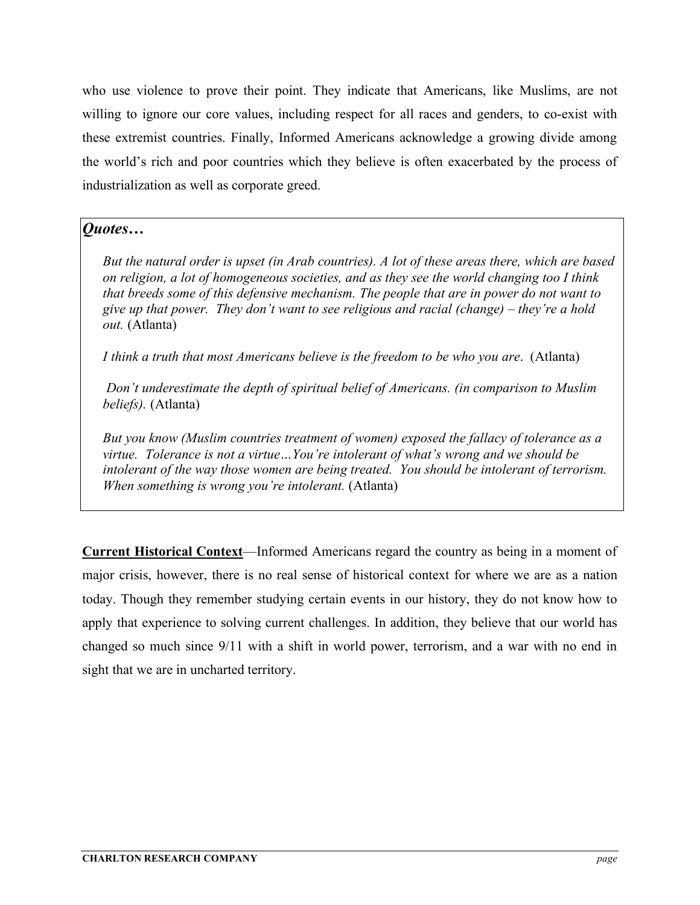who use violence to prove their point. They indicate that Americans, like Muslims, are not willing to ignore our core values, including respect for all races and genders, to co-exist with these extremist countries. Finally, Informed Americans acknowledge a growing divide among the world's rich and poor countries which they believe is often exacerbated by the process of industrialization as well as corporate greed.

#### *Quotes…*

*But the natural order is upset (in Arab countries). A lot of these areas there, which are based on religion, a lot of homogeneous societies, and as they see the world changing too I think that breeds some of this defensive mechanism. The people that are in power do not want to give up that power. They don't want to see religious and racial (change) – they're a hold out.* (Atlanta)

*I think a truth that most Americans believe is the freedom to be who you are.* (Atlanta)

*Don't underestimate the depth of spiritual belief of Americans. (in comparison to Muslim beliefs).* (Atlanta)

*But you know (Muslim countries treatment of women) exposed the fallacy of tolerance as a virtue. Tolerance is not a virtue…You're intolerant of what's wrong and we should be intolerant of the way those women are being treated. You should be intolerant of terrorism. When something is wrong you're intolerant.* (Atlanta)

**Current Historical Context**—Informed Americans regard the country as being in a moment of major crisis, however, there is no real sense of historical context for where we are as a nation today. Though they remember studying certain events in our history, they do not know how to apply that experience to solving current challenges. In addition, they believe that our world has changed so much since 9/11 with a shift in world power, terrorism, and a war with no end in sight that we are in uncharted territory.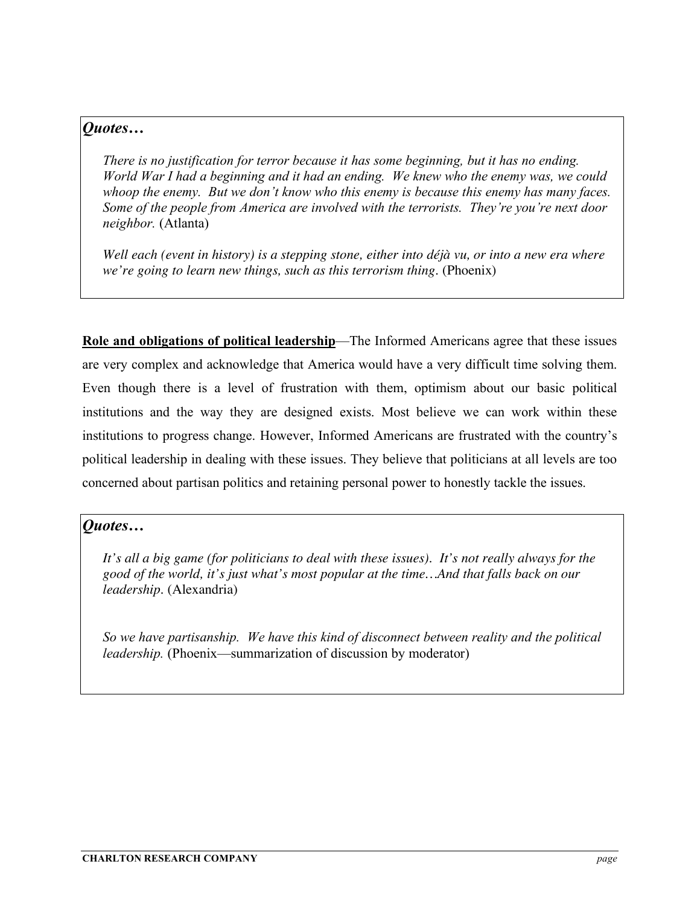### *Quotes…*

*There is no justification for terror because it has some beginning, but it has no ending. World War I had a beginning and it had an ending. We knew who the enemy was, we could whoop the enemy. But we don't know who this enemy is because this enemy has many faces. Some of the people from America are involved with the terrorists. They're you're next door neighbor.* (Atlanta)

*Well each (event in history) is a stepping stone, either into déjà vu, or into a new era where we're going to learn new things, such as this terrorism thing.* (Phoenix)

**Role and obligations of political leadership**—The Informed Americans agree that these issues are very complex and acknowledge that America would have a very difficult time solving them. Even though there is a level of frustration with them, optimism about our basic political institutions and the way they are designed exists. Most believe we can work within these institutions to progress change. However, Informed Americans are frustrated with the country's political leadership in dealing with these issues. They believe that politicians at all levels are too concerned about partisan politics and retaining personal power to honestly tackle the issues.

#### *Quotes…*

*It's all a big game (for politicians to deal with these issues). It's not really always for the good of the world, it's just what's most popular at the time…And that falls back on our leadership.* (Alexandria)

*So we have partisanship. We have this kind of disconnect between reality and the political leadership.* (Phoenix—summarization of discussion by moderator)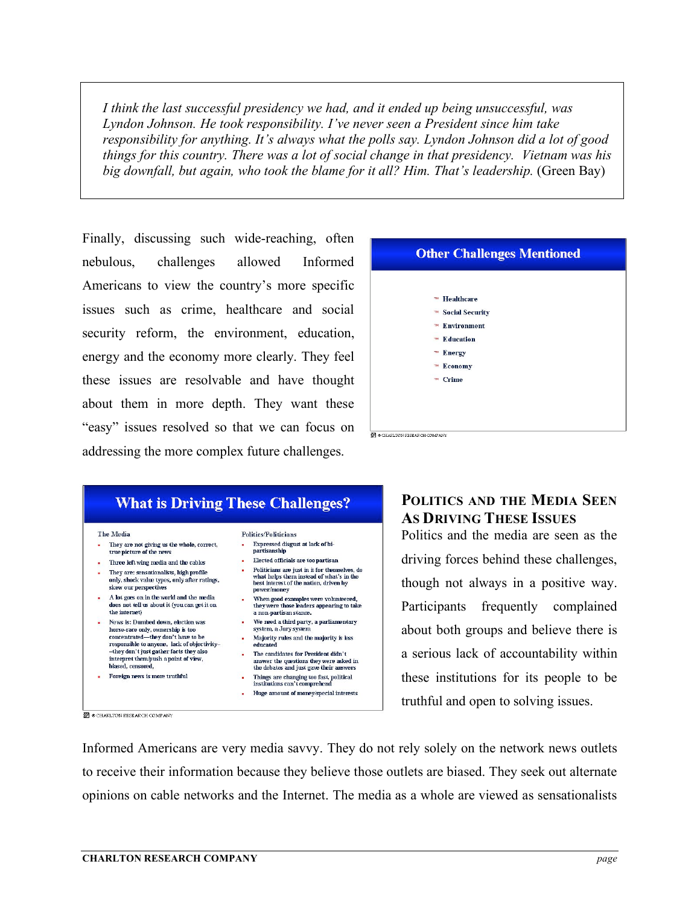*I think the last successful presidency we had, and it ended up being unsuccessful, was Lyndon Johnson. He took responsibility. I've never seen a President since him take responsibility for anything. It's always what the polls say. Lyndon Johnson did a lot of good things for this country. There was a lot of social change in that presidency. Vietnam was his big downfall, but again, who took the blame for it all? Him. That's leadership.* (Green Bay)

Finally, discussing such wide-reaching, often nebulous, challenges allowed Informed Americans to view the country's more specific issues such as crime, healthcare and social security reform, the environment, education, energy and the economy more clearly. They feel these issues are resolvable and have thought about them in more depth. They want these "easy" issues resolved so that we can focus on addressing the more complex future challenges.



# **Other Challenges Mentioned** ™ Healthcare **M** Social Security ™ Environment  **Education** ™ Energy ™ Economy ™ Crime CHARLTON RESEARCH COMPANY

## **POLITICS AND THE MEDIA SEEN AS DRIVING THESE ISSUES**

Politics and the media are seen as the driving forces behind these challenges, though not always in a positive way. Participants frequently complained about both groups and believe there is a serious lack of accountability within these institutions for its people to be truthful and open to solving issues.

Informed Americans are very media savvy. They do not rely solely on the network news outlets to receive their information because they believe those outlets are biased. They seek out alternate opinions on cable networks and the Internet. The media as a whole are viewed as sensationalists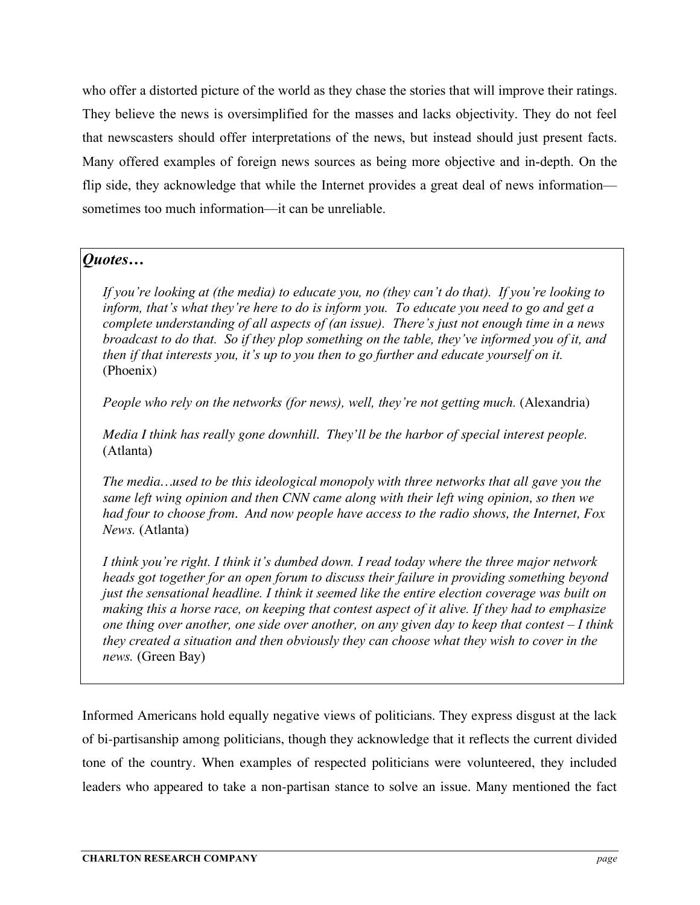who offer a distorted picture of the world as they chase the stories that will improve their ratings. They believe the news is oversimplified for the masses and lacks objectivity. They do not feel that newscasters should offer interpretations of the news, but instead should just present facts. Many offered examples of foreign news sources as being more objective and in-depth. On the flip side, they acknowledge that while the Internet provides a great deal of news information sometimes too much information—it can be unreliable.

#### *Quotes…*

*If you're looking at (the media) to educate you, no (they can't do that). If you're looking to inform, that's what they're here to do is inform you. To educate you need to go and get a complete understanding of all aspects of (an issue). There's just not enough time in a news broadcast to do that. So if they plop something on the table, they've informed you of it, and then if that interests you, it's up to you then to go further and educate yourself on it.* (Phoenix)

*People who rely on the networks (for news), well, they're not getting much.* (Alexandria)

*Media I think has really gone downhill. They'll be the harbor of special interest people.* (Atlanta)

*The media…used to be this ideological monopoly with three networks that all gave you the same left wing opinion and then CNN came along with their left wing opinion, so then we had four to choose from. And now people have access to the radio shows, the Internet, Fox News.* (Atlanta)

*I think you're right. I think it's dumbed down. I read today where the three major network heads got together for an open forum to discuss their failure in providing something beyond just the sensational headline. I think it seemed like the entire election coverage was built on making this a horse race, on keeping that contest aspect of it alive. If they had to emphasize one thing over another, one side over another, on any given day to keep that contest – I think they created a situation and then obviously they can choose what they wish to cover in the news.* (Green Bay)

Informed Americans hold equally negative views of politicians. They express disgust at the lack of bi-partisanship among politicians, though they acknowledge that it reflects the current divided tone of the country. When examples of respected politicians were volunteered, they included leaders who appeared to take a non-partisan stance to solve an issue. Many mentioned the fact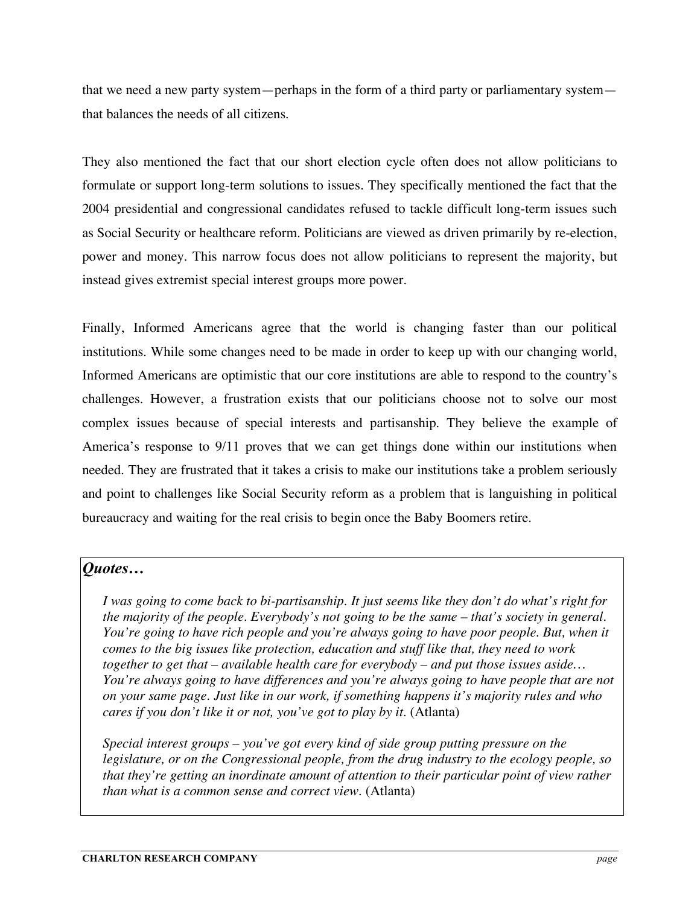that we need a new party system—perhaps in the form of a third party or parliamentary system that balances the needs of all citizens.

They also mentioned the fact that our short election cycle often does not allow politicians to formulate or support long-term solutions to issues. They specifically mentioned the fact that the 2004 presidential and congressional candidates refused to tackle difficult long-term issues such as Social Security or healthcare reform. Politicians are viewed as driven primarily by re-election, power and money. This narrow focus does not allow politicians to represent the majority, but instead gives extremist special interest groups more power.

Finally, Informed Americans agree that the world is changing faster than our political institutions. While some changes need to be made in order to keep up with our changing world, Informed Americans are optimistic that our core institutions are able to respond to the country's challenges. However, a frustration exists that our politicians choose not to solve our most complex issues because of special interests and partisanship. They believe the example of America's response to 9/11 proves that we can get things done within our institutions when needed. They are frustrated that it takes a crisis to make our institutions take a problem seriously and point to challenges like Social Security reform as a problem that is languishing in political bureaucracy and waiting for the real crisis to begin once the Baby Boomers retire.

#### *Quotes…*

*I was going to come back to bi-partisanship. It just seems like they don't do what's right for the majority of the people. Everybody's not going to be the same – that's society in general. You're going to have rich people and you're always going to have poor people. But, when it comes to the big issues like protection, education and stuff like that, they need to work together to get that – available health care for everybody – and put those issues aside… You're always going to have differences and you're always going to have people that are not on your same page. Just like in our work, if something happens it's majority rules and who cares if you don't like it or not, you've got to play by it.* (Atlanta)

*Special interest groups – you've got every kind of side group putting pressure on the legislature, or on the Congressional people, from the drug industry to the ecology people, so that they're getting an inordinate amount of attention to their particular point of view rather than what is a common sense and correct view*. (Atlanta)